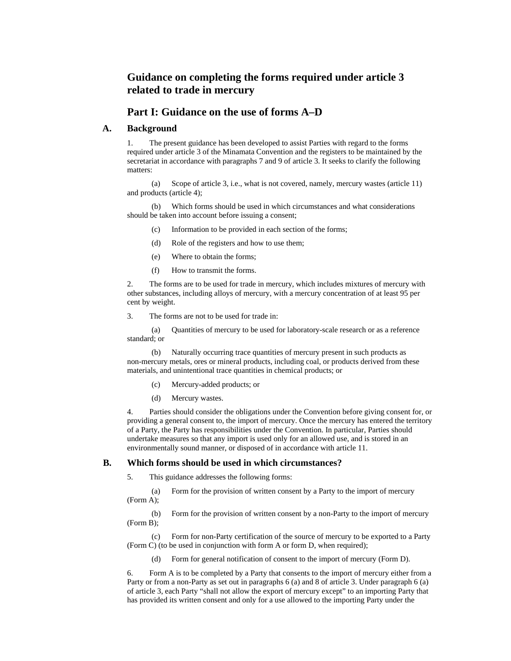# **Guidance on completing the forms required under article 3 related to trade in mercury**

# **Part I: Guidance on the use of forms A–D**

# **A. Background**

1. The present guidance has been developed to assist Parties with regard to the forms required under article 3 of the Minamata Convention and the registers to be maintained by the secretariat in accordance with paragraphs 7 and 9 of article 3. It seeks to clarify the following matters:

(a) Scope of article 3, i.e., what is not covered, namely, mercury wastes (article 11) and products (article 4);

(b) Which forms should be used in which circumstances and what considerations should be taken into account before issuing a consent;

- (c) Information to be provided in each section of the forms;
- (d) Role of the registers and how to use them;
- (e) Where to obtain the forms;
- (f) How to transmit the forms.

2. The forms are to be used for trade in mercury, which includes mixtures of mercury with other substances, including alloys of mercury, with a mercury concentration of at least 95 per cent by weight.

3. The forms are not to be used for trade in:

(a) Quantities of mercury to be used for laboratory-scale research or as a reference standard; or

(b) Naturally occurring trace quantities of mercury present in such products as non-mercury metals, ores or mineral products, including coal, or products derived from these materials, and unintentional trace quantities in chemical products; or

- (c) Mercury-added products; or
- (d) Mercury wastes.

4. Parties should consider the obligations under the Convention before giving consent for, or providing a general consent to, the import of mercury. Once the mercury has entered the territory of a Party, the Party has responsibilities under the Convention. In particular, Parties should undertake measures so that any import is used only for an allowed use, and is stored in an environmentally sound manner, or disposed of in accordance with article 11.

#### **B. Which forms should be used in which circumstances?**

5. This guidance addresses the following forms:

(a) Form for the provision of written consent by a Party to the import of mercury (Form A);

(b) Form for the provision of written consent by a non-Party to the import of mercury (Form B);

(c) Form for non-Party certification of the source of mercury to be exported to a Party (Form C) (to be used in conjunction with form A or form D, when required);

(d) Form for general notification of consent to the import of mercury (Form D).

6. Form A is to be completed by a Party that consents to the import of mercury either from a Party or from a non-Party as set out in paragraphs 6 (a) and 8 of article 3. Under paragraph 6 (a) of article 3, each Party "shall not allow the export of mercury except" to an importing Party that has provided its written consent and only for a use allowed to the importing Party under the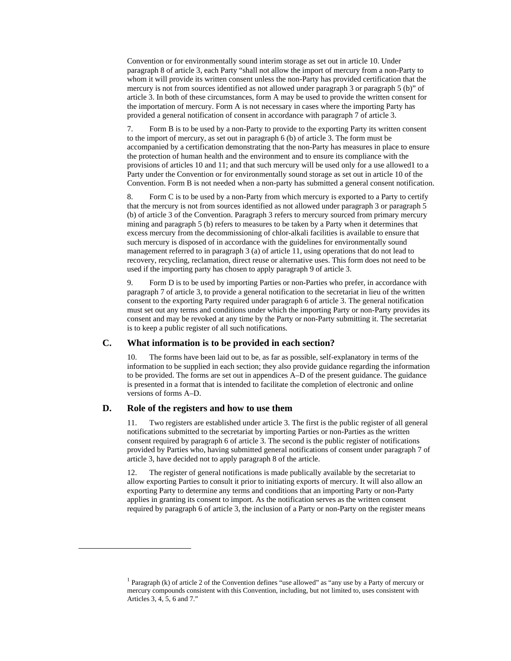Convention or for environmentally sound interim storage as set out in article 10. Under paragraph 8 of article 3, each Party "shall not allow the import of mercury from a non-Party to whom it will provide its written consent unless the non-Party has provided certification that the mercury is not from sources identified as not allowed under paragraph 3 or paragraph 5 (b)" of article 3. In both of these circumstances, form A may be used to provide the written consent for the importation of mercury. Form A is not necessary in cases where the importing Party has provided a general notification of consent in accordance with paragraph 7 of article 3.

7. Form B is to be used by a non-Party to provide to the exporting Party its written consent to the import of mercury, as set out in paragraph 6 (b) of article 3. The form must be accompanied by a certification demonstrating that the non-Party has measures in place to ensure the protection of human health and the environment and to ensure its compliance with the provisions of articles 10 and 11; and that such mercury will be used only for a use allowed1 to a Party under the Convention or for environmentally sound storage as set out in article 10 of the Convention. Form B is not needed when a non-party has submitted a general consent notification.

8. Form C is to be used by a non-Party from which mercury is exported to a Party to certify that the mercury is not from sources identified as not allowed under paragraph 3 or paragraph 5 (b) of article 3 of the Convention. Paragraph 3 refers to mercury sourced from primary mercury mining and paragraph 5 (b) refers to measures to be taken by a Party when it determines that excess mercury from the decommissioning of chlor-alkali facilities is available to ensure that such mercury is disposed of in accordance with the guidelines for environmentally sound management referred to in paragraph 3 (a) of article 11, using operations that do not lead to recovery, recycling, reclamation, direct reuse or alternative uses. This form does not need to be used if the importing party has chosen to apply paragraph 9 of article 3.

9. Form D is to be used by importing Parties or non-Parties who prefer, in accordance with paragraph 7 of article 3, to provide a general notification to the secretariat in lieu of the written consent to the exporting Party required under paragraph 6 of article 3. The general notification must set out any terms and conditions under which the importing Party or non-Party provides its consent and may be revoked at any time by the Party or non-Party submitting it. The secretariat is to keep a public register of all such notifications.

#### **C. What information is to be provided in each section?**

10. The forms have been laid out to be, as far as possible, self-explanatory in terms of the information to be supplied in each section; they also provide guidance regarding the information to be provided. The forms are set out in appendices A–D of the present guidance. The guidance is presented in a format that is intended to facilitate the completion of electronic and online versions of forms A–D.

# **D. Role of the registers and how to use them**

-

11. Two registers are established under article 3. The first is the public register of all general notifications submitted to the secretariat by importing Parties or non-Parties as the written consent required by paragraph 6 of article 3. The second is the public register of notifications provided by Parties who, having submitted general notifications of consent under paragraph 7 of article 3, have decided not to apply paragraph 8 of the article.

12. The register of general notifications is made publically available by the secretariat to allow exporting Parties to consult it prior to initiating exports of mercury. It will also allow an exporting Party to determine any terms and conditions that an importing Party or non-Party applies in granting its consent to import. As the notification serves as the written consent required by paragraph 6 of article 3, the inclusion of a Party or non-Party on the register means

<sup>&</sup>lt;sup>1</sup> Paragraph (k) of article 2 of the Convention defines "use allowed" as "any use by a Party of mercury or mercury compounds consistent with this Convention, including, but not limited to, uses consistent with Articles 3, 4, 5, 6 and 7."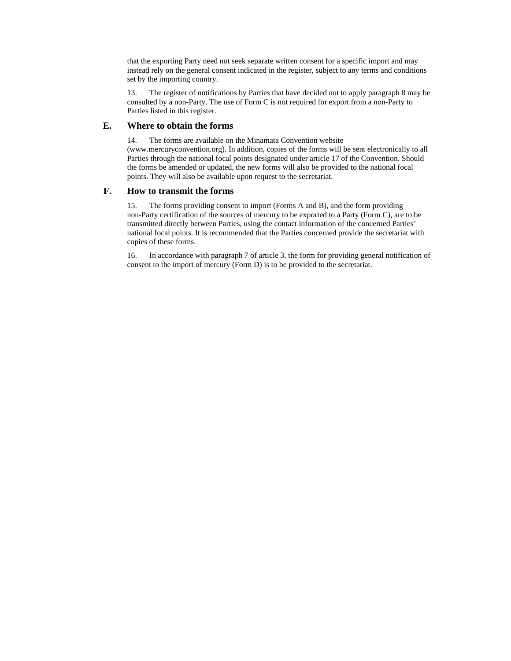that the exporting Party need not seek separate written consent for a specific import and may instead rely on the general consent indicated in the register, subject to any terms and conditions set by the importing country.

13. The register of notifications by Parties that have decided not to apply paragraph 8 may be consulted by a non-Party. The use of Form C is not required for export from a non-Party to Parties listed in this register.

## **E. Where to obtain the forms**

14. The forms are available on the Minamata Convention website (www.mercuryconvention.org). In addition, copies of the forms will be sent electronically to all Parties through the national focal points designated under article 17 of the Convention. Should the forms be amended or updated, the new forms will also be provided to the national focal points. They will also be available upon request to the secretariat.

## **F. How to transmit the forms**

15. The forms providing consent to import (Forms A and B), and the form providing non-Party certification of the sources of mercury to be exported to a Party (Form C), are to be transmitted directly between Parties, using the contact information of the concerned Parties' national focal points. It is recommended that the Parties concerned provide the secretariat with copies of these forms.

16. In accordance with paragraph 7 of article 3, the form for providing general notification of consent to the import of mercury (Form D) is to be provided to the secretariat.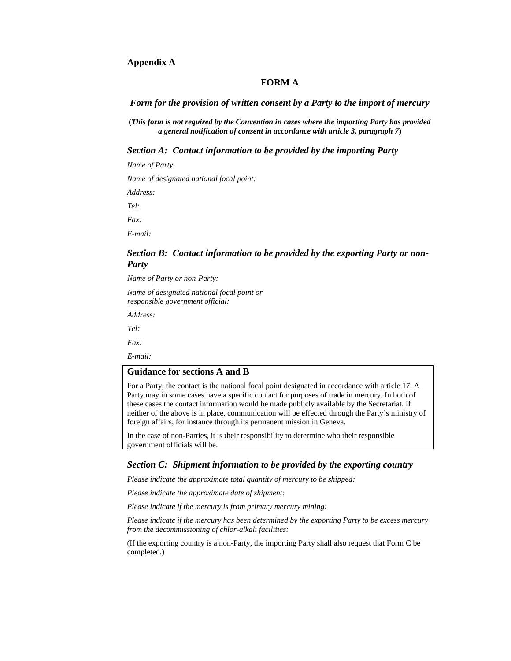# **Appendix A**

# **FORM A**

#### *Form for the provision of written consent by a Party to the import of mercury*

**(***This form is not required by the Convention in cases where the importing Party has provided a general notification of consent in accordance with article 3, paragraph 7***)** 

*Section A: Contact information to be provided by the importing Party* 

*Name of Party*:

*Name of designated national focal point:* 

*Address:* 

*Tel:* 

*Fax:* 

*E-mail:* 

# *Section B: Contact information to be provided by the exporting Party or non-Party*

*Name of Party or non-Party:* 

*Name of designated national focal point or responsible government official:* 

*Address:* 

*Tel: Fax:* 

*E-mail:* 

# **Guidance for sections A and B**

For a Party, the contact is the national focal point designated in accordance with article 17. A Party may in some cases have a specific contact for purposes of trade in mercury. In both of these cases the contact information would be made publicly available by the Secretariat. If neither of the above is in place, communication will be effected through the Party's ministry of foreign affairs, for instance through its permanent mission in Geneva.

In the case of non-Parties, it is their responsibility to determine who their responsible government officials will be.

#### *Section C: Shipment information to be provided by the exporting country*

*Please indicate the approximate total quantity of mercury to be shipped:* 

*Please indicate the approximate date of shipment:* 

*Please indicate if the mercury is from primary mercury mining:* 

*Please indicate if the mercury has been determined by the exporting Party to be excess mercury from the decommissioning of chlor-alkali facilities:* 

(If the exporting country is a non-Party, the importing Party shall also request that Form C be completed.)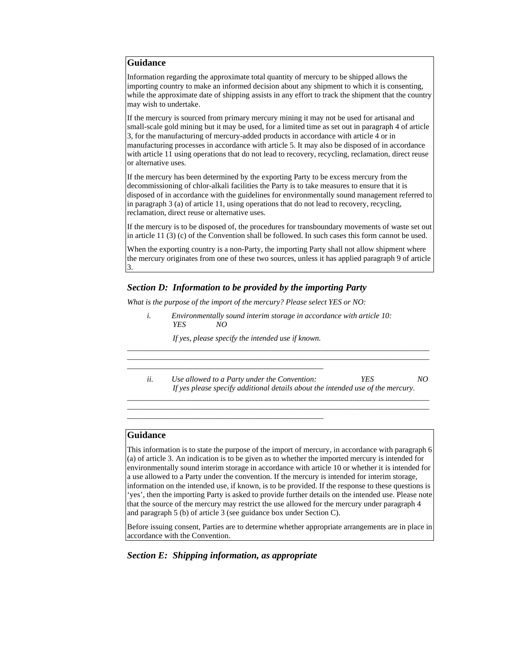Information regarding the approximate total quantity of mercury to be shipped allows the importing country to make an informed decision about any shipment to which it is consenting, while the approximate date of shipping assists in any effort to track the shipment that the country may wish to undertake.

If the mercury is sourced from primary mercury mining it may not be used for artisanal and small-scale gold mining but it may be used, for a limited time as set out in paragraph 4 of article 3, for the manufacturing of mercury-added products in accordance with article 4 or in manufacturing processes in accordance with article 5. It may also be disposed of in accordance with article 11 using operations that do not lead to recovery, recycling, reclamation, direct reuse or alternative uses.

If the mercury has been determined by the exporting Party to be excess mercury from the decommissioning of chlor-alkali facilities the Party is to take measures to ensure that it is disposed of in accordance with the guidelines for environmentally sound management referred to in paragraph 3 (a) of article 11, using operations that do not lead to recovery, recycling, reclamation, direct reuse or alternative uses.

If the mercury is to be disposed of, the procedures for transboundary movements of waste set out in article 11 (3) (c) of the Convention shall be followed. In such cases this form cannot be used.

When the exporting country is a non-Party, the importing Party shall not allow shipment where the mercury originates from one of these two sources, unless it has applied paragraph 9 of article 3.

# *Section D: Information to be provided by the importing Party*

*What is the purpose of the import of the mercury? Please select YES or NO:* 

*i. Environmentally sound interim storage in accordance with article 10: YES NO* 

*If yes, please specify the intended use if known.* 

*\_\_\_\_\_\_\_\_\_\_\_\_\_\_\_\_\_\_\_\_\_\_\_\_\_\_\_\_\_\_\_\_\_\_\_\_\_\_\_\_\_\_\_\_\_\_\_\_\_\_* 

*\_\_\_\_\_\_\_\_\_\_\_\_\_\_\_\_\_\_\_\_\_\_\_\_\_\_\_\_\_\_\_\_\_\_\_\_\_\_\_\_\_\_\_\_\_\_\_\_\_\_* 

*ii. Use allowed to a Party under the Convention: YES NO If yes please specify additional details about the intended use of the mercury.* 

*\_\_\_\_\_\_\_\_\_\_\_\_\_\_\_\_\_\_\_\_\_\_\_\_\_\_\_\_\_\_\_\_\_\_\_\_\_\_\_\_\_\_\_\_\_\_\_\_\_\_\_\_\_\_\_\_\_\_\_\_\_\_\_\_\_\_\_\_\_\_\_\_\_\_\_\_\_ \_\_\_\_\_\_\_\_\_\_\_\_\_\_\_\_\_\_\_\_\_\_\_\_\_\_\_\_\_\_\_\_\_\_\_\_\_\_\_\_\_\_\_\_\_\_\_\_\_\_\_\_\_\_\_\_\_\_\_\_\_\_\_\_\_\_\_\_\_\_\_\_\_\_\_\_\_*

*\_\_\_\_\_\_\_\_\_\_\_\_\_\_\_\_\_\_\_\_\_\_\_\_\_\_\_\_\_\_\_\_\_\_\_\_\_\_\_\_\_\_\_\_\_\_\_\_\_\_\_\_\_\_\_\_\_\_\_\_\_\_\_\_\_\_\_\_\_\_\_\_\_\_\_\_\_ \_\_\_\_\_\_\_\_\_\_\_\_\_\_\_\_\_\_\_\_\_\_\_\_\_\_\_\_\_\_\_\_\_\_\_\_\_\_\_\_\_\_\_\_\_\_\_\_\_\_\_\_\_\_\_\_\_\_\_\_\_\_\_\_\_\_\_\_\_\_\_\_\_\_\_\_\_*

# **Guidance**

This information is to state the purpose of the import of mercury, in accordance with paragraph 6 (a) of article 3. An indication is to be given as to whether the imported mercury is intended for environmentally sound interim storage in accordance with article 10 or whether it is intended for a use allowed to a Party under the convention. If the mercury is intended for interim storage, information on the intended use, if known, is to be provided. If the response to these questions is 'yes', then the importing Party is asked to provide further details on the intended use. Please note that the source of the mercury may restrict the use allowed for the mercury under paragraph 4 and paragraph 5 (b) of article 3 (see guidance box under Section C).

Before issuing consent, Parties are to determine whether appropriate arrangements are in place in accordance with the Convention.

*Section E: Shipping information, as appropriate*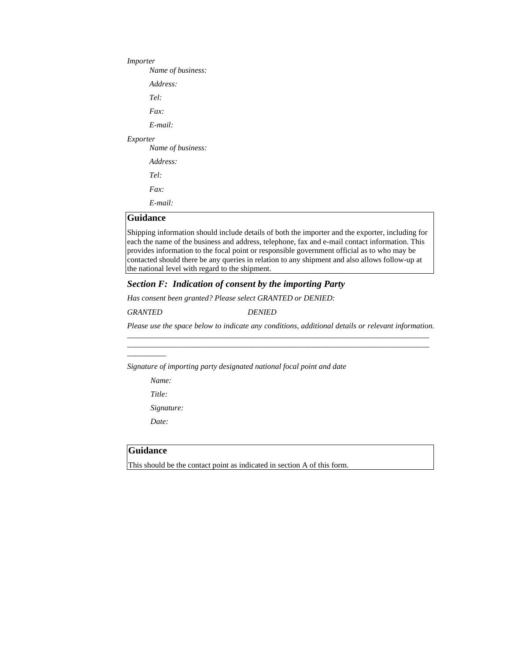*Importer Name of business: Address: Tel: Fax: E-mail: Exporter Name of business: Address: Tel: Fax: E-mail:* 

# **Guidance**

Shipping information should include details of both the importer and the exporter, including for each the name of the business and address, telephone, fax and e-mail contact information. This provides information to the focal point or responsible government official as to who may be contacted should there be any queries in relation to any shipment and also allows follow-up at the national level with regard to the shipment.

## *Section F: Indication of consent by the importing Party*

*Has consent been granted? Please select GRANTED or DENIED:* 

*GRANTED DENIED* 

*Please use the space below to indicate any conditions, additional details or relevant information. \_\_\_\_\_\_\_\_\_\_\_\_\_\_\_\_\_\_\_\_\_\_\_\_\_\_\_\_\_\_\_\_\_\_\_\_\_\_\_\_\_\_\_\_\_\_\_\_\_\_\_\_\_\_\_\_\_\_\_\_\_\_\_\_\_\_\_\_\_\_\_\_\_\_\_\_\_*

*\_\_\_\_\_\_\_\_\_\_\_\_\_\_\_\_\_\_\_\_\_\_\_\_\_\_\_\_\_\_\_\_\_\_\_\_\_\_\_\_\_\_\_\_\_\_\_\_\_\_\_\_\_\_\_\_\_\_\_\_\_\_\_\_\_\_\_\_\_\_\_\_\_\_\_\_\_*

*Signature of importing party designated national focal point and date* 

 *Name:* 

*\_\_\_\_\_\_\_\_\_\_* 

 *Title:* 

 *Signature:* 

 *Date:* 

## **Guidance**

This should be the contact point as indicated in section A of this form.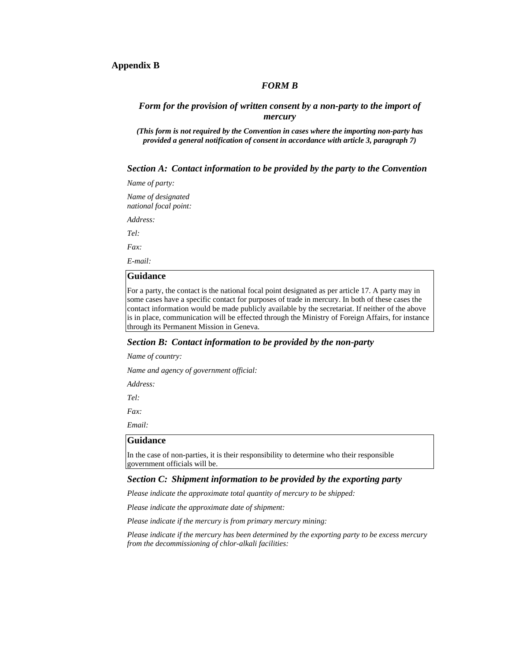# **Appendix B**

#### *FORM B*

# *Form for the provision of written consent by a non-party to the import of mercury*

*(This form is not required by the Convention in cases where the importing non-party has provided a general notification of consent in accordance with article 3, paragraph 7)* 

### *Section A: Contact information to be provided by the party to the Convention*

*Name of party:* 

*Name of designated national focal point:* 

*Address:* 

*Tel:* 

*Fax:* 

*E-mail:* 

# **Guidance**

For a party, the contact is the national focal point designated as per article 17. A party may in some cases have a specific contact for purposes of trade in mercury. In both of these cases the contact information would be made publicly available by the secretariat. If neither of the above is in place, communication will be effected through the Ministry of Foreign Affairs, for instance through its Permanent Mission in Geneva.

## *Section B: Contact information to be provided by the non-party*

*Name of country:* 

*Name and agency of government official:* 

*Address:* 

*Tel:* 

*Fax:* 

*Email:* 

# **Guidance**

In the case of non-parties, it is their responsibility to determine who their responsible government officials will be.

## *Section C: Shipment information to be provided by the exporting party*

*Please indicate the approximate total quantity of mercury to be shipped:* 

*Please indicate the approximate date of shipment:* 

*Please indicate if the mercury is from primary mercury mining:* 

*Please indicate if the mercury has been determined by the exporting party to be excess mercury from the decommissioning of chlor-alkali facilities:*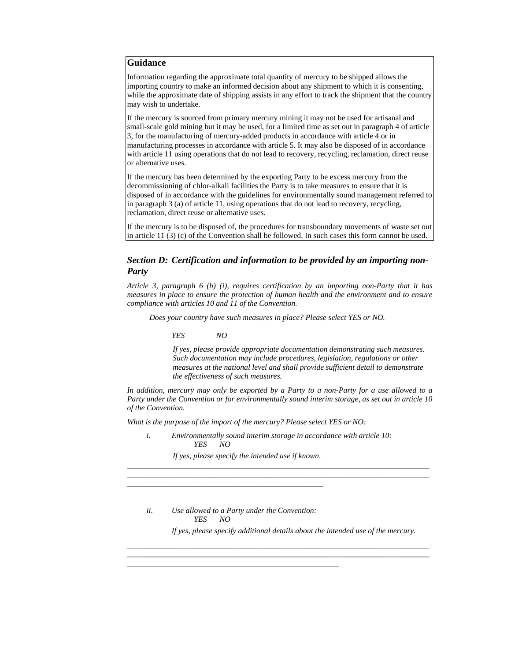Information regarding the approximate total quantity of mercury to be shipped allows the importing country to make an informed decision about any shipment to which it is consenting, while the approximate date of shipping assists in any effort to track the shipment that the country may wish to undertake.

If the mercury is sourced from primary mercury mining it may not be used for artisanal and small-scale gold mining but it may be used, for a limited time as set out in paragraph 4 of article 3, for the manufacturing of mercury-added products in accordance with article 4 or in manufacturing processes in accordance with article 5. It may also be disposed of in accordance with article 11 using operations that do not lead to recovery, recycling, reclamation, direct reuse or alternative uses.

If the mercury has been determined by the exporting Party to be excess mercury from the decommissioning of chlor-alkali facilities the Party is to take measures to ensure that it is disposed of in accordance with the guidelines for environmentally sound management referred to in paragraph 3 (a) of article 11, using operations that do not lead to recovery, recycling, reclamation, direct reuse or alternative uses.

If the mercury is to be disposed of, the procedures for transboundary movements of waste set out in article 11 (3) (c) of the Convention shall be followed. In such cases this form cannot be used.

# *Section D: Certification and information to be provided by an importing non-Party*

*Article 3, paragraph 6 (b) (i), requires certification by an importing non-Party that it has measures in place to ensure the protection of human health and the environment and to ensure compliance with articles 10 and 11 of the Convention.* 

*Does your country have such measures in place? Please select YES or NO.* 

#### *YES NO*

*If yes, please provide appropriate documentation demonstrating such measures. Such documentation may include procedures, legislation, regulations or other measures at the national level and shall provide sufficient detail to demonstrate the effectiveness of such measures.* 

*In addition, mercury may only be exported by a Party to a non-Party for a use allowed to a Party under the Convention or for environmentally sound interim storage, as set out in article 10 of the Convention.* 

*What is the purpose of the import of the mercury? Please select YES or NO:* 

*i. Environmentally sound interim storage in accordance with article 10: YES NO* 

*If yes, please specify the intended use if known*.

*\_\_\_\_\_\_\_\_\_\_\_\_\_\_\_\_\_\_\_\_\_\_\_\_\_\_\_\_\_\_\_\_\_\_\_\_\_\_\_\_\_\_\_\_\_\_\_\_\_\_*

\_\_\_\_\_\_\_\_\_\_\_\_\_\_\_\_\_\_\_\_\_\_\_\_\_\_\_\_\_\_\_\_\_\_\_\_\_\_\_\_\_\_\_\_\_\_\_\_\_\_\_\_\_\_

*ii. Use allowed to a Party under the Convention: YES NO If yes, please specify additional details about the intended use of the mercury.* 

\_\_\_\_\_\_\_\_\_\_\_\_\_\_\_\_\_\_\_\_\_\_\_\_\_\_\_\_\_\_\_\_\_\_\_\_\_\_\_\_\_\_\_\_\_\_\_\_\_\_\_\_\_\_\_\_\_\_\_\_\_\_\_\_\_\_\_\_\_\_\_\_\_\_\_\_\_ \_\_\_\_\_\_\_\_\_\_\_\_\_\_\_\_\_\_\_\_\_\_\_\_\_\_\_\_\_\_\_\_\_\_\_\_\_\_\_\_\_\_\_\_\_\_\_\_\_\_\_\_\_\_\_\_\_\_\_\_\_\_\_\_\_\_\_\_\_\_\_\_\_\_\_\_\_

*\_\_\_\_\_\_\_\_\_\_\_\_\_\_\_\_\_\_\_\_\_\_\_\_\_\_\_\_\_\_\_\_\_\_\_\_\_\_\_\_\_\_\_\_\_\_\_\_\_\_\_\_\_\_\_\_\_\_\_\_\_\_\_\_\_\_\_\_\_\_\_\_\_\_\_\_\_ \_\_\_\_\_\_\_\_\_\_\_\_\_\_\_\_\_\_\_\_\_\_\_\_\_\_\_\_\_\_\_\_\_\_\_\_\_\_\_\_\_\_\_\_\_\_\_\_\_\_\_\_\_\_\_\_\_\_\_\_\_\_\_\_\_\_\_\_\_\_\_\_\_\_\_\_\_*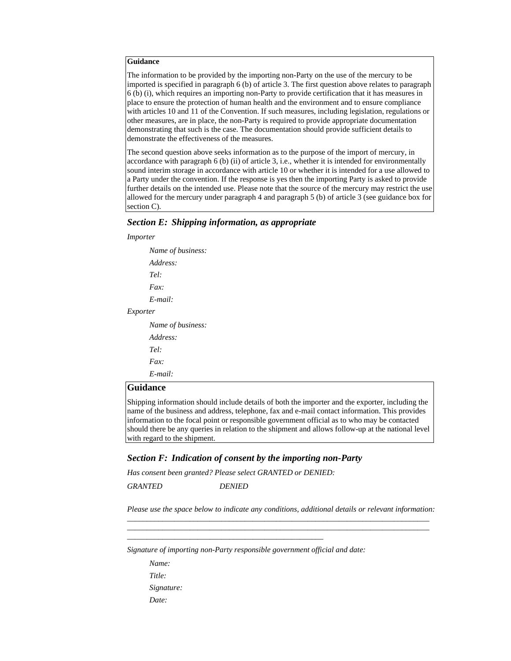The information to be provided by the importing non-Party on the use of the mercury to be imported is specified in paragraph 6 (b) of article 3. The first question above relates to paragraph 6 (b) (i), which requires an importing non-Party to provide certification that it has measures in place to ensure the protection of human health and the environment and to ensure compliance with articles 10 and 11 of the Convention. If such measures, including legislation, regulations or other measures, are in place, the non-Party is required to provide appropriate documentation demonstrating that such is the case. The documentation should provide sufficient details to demonstrate the effectiveness of the measures.

The second question above seeks information as to the purpose of the import of mercury, in accordance with paragraph 6 (b) (ii) of article 3, i.e., whether it is intended for environmentally sound interim storage in accordance with article 10 or whether it is intended for a use allowed to a Party under the convention. If the response is yes then the importing Party is asked to provide further details on the intended use. Please note that the source of the mercury may restrict the use allowed for the mercury under paragraph 4 and paragraph 5 (b) of article 3 (see guidance box for section C).

# *Section E: Shipping information, as appropriate*

#### *Importer*

 *Name of business: Address: Tel: Fax: E-mail: Exporter* 

> *Name of business: Address: Tel: Fax: E-mail:*

#### **Guidance**

Shipping information should include details of both the importer and the exporter, including the name of the business and address, telephone, fax and e-mail contact information. This provides information to the focal point or responsible government official as to who may be contacted should there be any queries in relation to the shipment and allows follow-up at the national level with regard to the shipment.

## *Section F: Indication of consent by the importing non-Party*

*Has consent been granted? Please select GRANTED or DENIED:* 

*\_\_\_\_\_\_\_\_\_\_*\_\_\_\_\_\_\_\_\_\_\_\_\_\_\_\_\_\_\_\_\_\_\_\_\_\_\_\_\_\_\_\_\_\_\_\_\_\_\_\_

*GRANTED DENIED* 

*Please use the space below to indicate any conditions, additional details or relevant information: \_\_\_\_\_\_\_\_\_\_\_\_\_\_\_\_\_\_\_\_\_\_\_\_\_\_\_\_\_\_\_\_\_\_\_\_\_\_\_\_\_\_\_\_\_\_\_\_\_\_\_\_\_\_\_\_\_\_\_\_\_\_\_\_\_\_\_\_\_\_\_\_\_\_\_\_\_*

*\_\_\_\_\_\_\_\_\_\_\_\_\_\_\_\_\_\_\_\_\_\_\_\_\_\_\_\_\_\_\_\_\_\_\_\_\_\_\_\_\_\_\_\_\_\_\_\_\_\_\_\_\_\_\_\_\_\_\_\_\_\_\_\_\_\_\_\_\_\_\_\_\_\_\_\_\_*

*Signature of importing non-Party responsible government official and date:* 

 *Name: Title: Signature: Date:*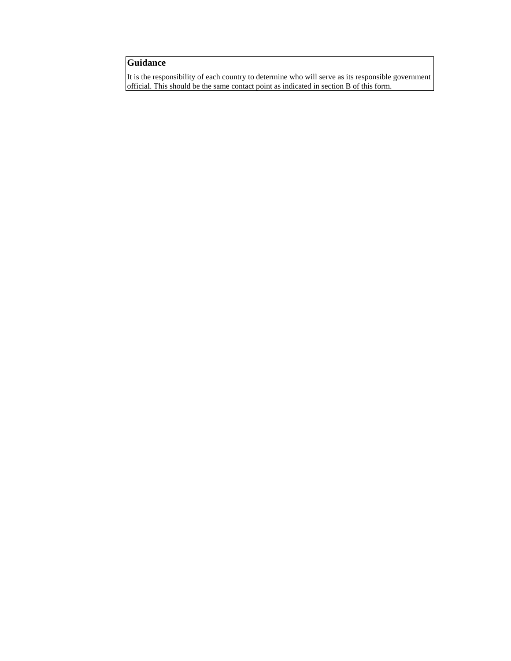It is the responsibility of each country to determine who will serve as its responsible government official. This should be the same contact point as indicated in section B of this form.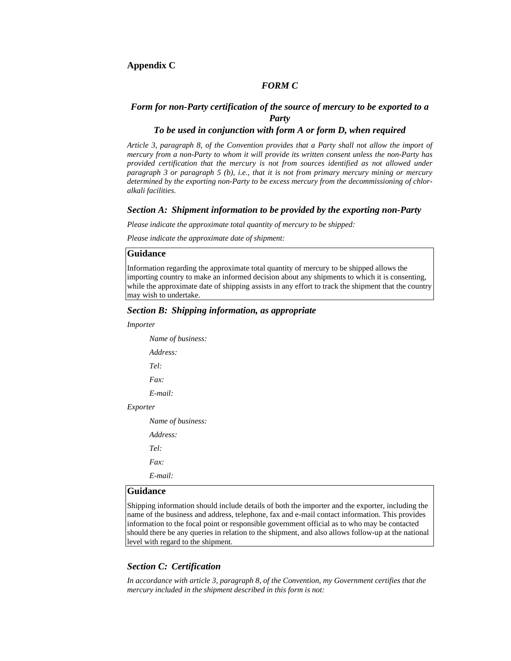#### *FORM C*

# *Form for non-Party certification of the source of mercury to be exported to a Party*

# *To be used in conjunction with form A or form D, when required*

*Article 3, paragraph 8, of the Convention provides that a Party shall not allow the import of mercury from a non-Party to whom it will provide its written consent unless the non-Party has provided certification that the mercury is not from sources identified as not allowed under paragraph 3 or paragraph 5 (b), i.e., that it is not from primary mercury mining or mercury determined by the exporting non-Party to be excess mercury from the decommissioning of chloralkali facilities.* 

#### *Section A: Shipment information to be provided by the exporting non-Party*

*Please indicate the approximate total quantity of mercury to be shipped:* 

*Please indicate the approximate date of shipment:* 

## **Guidance**

Information regarding the approximate total quantity of mercury to be shipped allows the importing country to make an informed decision about any shipments to which it is consenting, while the approximate date of shipping assists in any effort to track the shipment that the country may wish to undertake.

#### *Section B: Shipping information, as appropriate*

*Importer* 

 *Name of business: Address: Tel: Fax: E-mail: Exporter* 

 *Name of business:* 

 *Address:* 

 *Tel:* 

 *Fax:* 

 *E-mail:* 

# **Guidance**

Shipping information should include details of both the importer and the exporter, including the name of the business and address, telephone, fax and e-mail contact information. This provides information to the focal point or responsible government official as to who may be contacted should there be any queries in relation to the shipment, and also allows follow-up at the national level with regard to the shipment.

## *Section C: Certification*

*In accordance with article 3, paragraph 8, of the Convention, my Government certifies that the mercury included in the shipment described in this form is not:*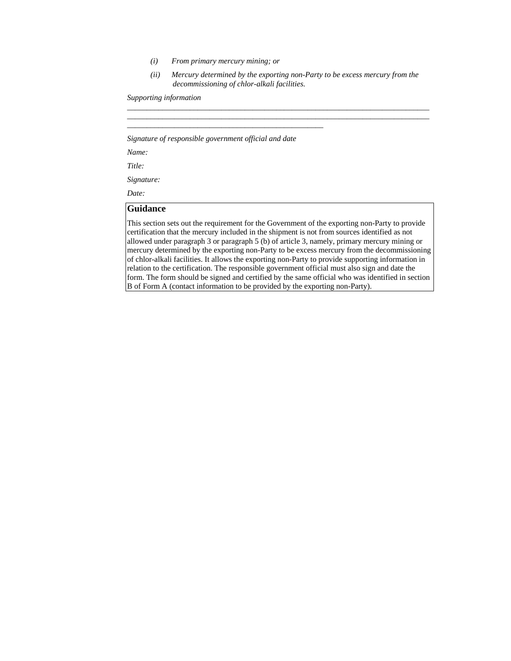- *(i) From primary mercury mining; or*
- *(ii) Mercury determined by the exporting non-Party to be excess mercury from the decommissioning of chlor-alkali facilities.*

*\_\_\_\_\_\_\_\_\_\_\_\_\_\_\_\_\_\_\_\_\_\_\_\_\_\_\_\_\_\_\_\_\_\_\_\_\_\_\_\_\_\_\_\_\_\_\_\_\_\_\_\_\_\_\_\_\_\_\_\_\_\_\_*\_\_\_\_\_\_\_\_\_\_\_\_\_\_ \_\_\_\_\_\_\_\_\_\_\_\_\_\_\_\_\_\_\_\_\_\_\_\_\_\_\_\_\_\_\_\_\_\_\_\_\_\_\_\_\_\_\_\_\_\_\_\_\_\_\_\_\_\_\_\_\_\_\_\_\_\_\_\_\_\_\_\_\_\_\_\_\_\_\_\_\_

*Supporting information* 

*Signature of responsible government official and date*

\_\_\_\_\_\_\_\_\_\_\_\_\_\_\_\_\_\_\_\_\_\_\_\_\_\_\_\_\_\_\_\_\_\_\_\_\_\_\_\_\_\_\_\_\_\_\_\_\_\_

*Name:* 

*Title:* 

*Signature:* 

*Date:* 

# **Guidance**

This section sets out the requirement for the Government of the exporting non-Party to provide certification that the mercury included in the shipment is not from sources identified as not allowed under paragraph 3 or paragraph 5 (b) of article 3, namely, primary mercury mining or mercury determined by the exporting non-Party to be excess mercury from the decommissioning of chlor-alkali facilities. It allows the exporting non-Party to provide supporting information in relation to the certification. The responsible government official must also sign and date the form. The form should be signed and certified by the same official who was identified in section B of Form A (contact information to be provided by the exporting non-Party).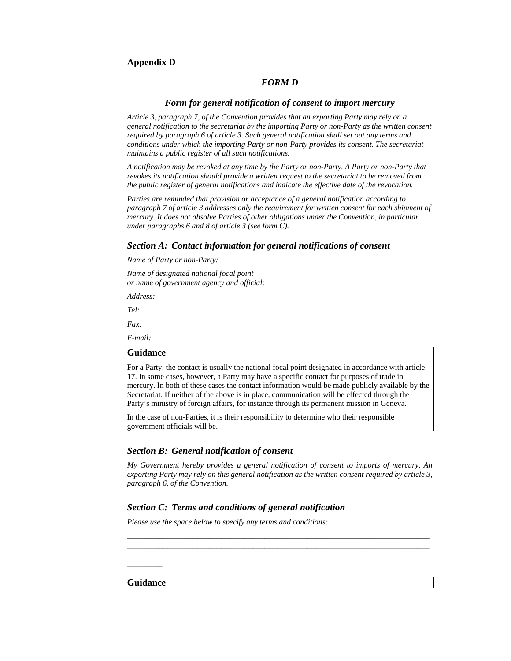# **Appendix D**

## *FORM D*

# *Form for general notification of consent to import mercury*

*Article 3, paragraph 7, of the Convention provides that an exporting Party may rely on a general notification to the secretariat by the importing Party or non-Party as the written consent required by paragraph 6 of article 3. Such general notification shall set out any terms and conditions under which the importing Party or non-Party provides its consent. The secretariat maintains a public register of all such notifications.* 

*A notification may be revoked at any time by the Party or non-Party. A Party or non-Party that revokes its notification should provide a written request to the secretariat to be removed from the public register of general notifications and indicate the effective date of the revocation.* 

*Parties are reminded that provision or acceptance of a general notification according to paragraph 7 of article 3 addresses only the requirement for written consent for each shipment of mercury. It does not absolve Parties of other obligations under the Convention, in particular under paragraphs 6 and 8 of article 3 (see form C).* 

#### *Section A: Contact information for general notifications of consent*

*Name of Party or non-Party:* 

*Name of designated national focal point or name of government agency and official:* 

*Address:* 

*Tel:* 

*Fax:* 

*E-mail:* 

#### **Guidance**

For a Party, the contact is usually the national focal point designated in accordance with article 17. In some cases, however, a Party may have a specific contact for purposes of trade in mercury. In both of these cases the contact information would be made publicly available by the Secretariat. If neither of the above is in place, communication will be effected through the Party's ministry of foreign affairs, for instance through its permanent mission in Geneva.

In the case of non-Parties, it is their responsibility to determine who their responsible government officials will be.

#### *Section B: General notification of consent*

*My Government hereby provides a general notification of consent to imports of mercury. An exporting Party may rely on this general notification as the written consent required by article 3, paragraph 6, of the Convention.* 

*\_\_\_\_\_\_\_\_\_\_\_\_\_\_\_\_\_\_\_\_\_\_\_\_\_\_\_\_\_\_\_\_\_\_\_\_\_\_\_\_\_\_\_\_\_\_\_\_\_\_\_\_\_\_\_\_\_\_\_\_\_\_\_\_\_\_\_\_\_\_\_\_\_\_\_\_\_ \_\_\_\_\_\_\_\_\_\_\_\_\_\_\_\_\_\_\_\_\_\_\_\_\_\_\_\_\_\_\_\_\_\_\_\_\_\_\_\_\_\_\_\_\_\_\_\_\_\_\_\_\_\_\_\_\_\_\_\_\_\_\_\_\_\_\_\_\_\_\_\_\_\_\_\_\_ \_\_\_\_\_\_\_\_\_\_*\_\_\_\_\_\_\_\_\_\_\_\_\_\_\_\_\_\_\_\_\_\_\_\_\_\_\_\_\_\_\_\_\_\_\_\_\_\_\_\_\_\_\_\_\_\_\_\_\_\_\_\_\_\_\_\_\_\_\_\_\_\_\_\_\_\_\_

# *Section C: Terms and conditions of general notification*

*Please use the space below to specify any terms and conditions:* 

**Guidance** 

 $\overline{\phantom{a}}$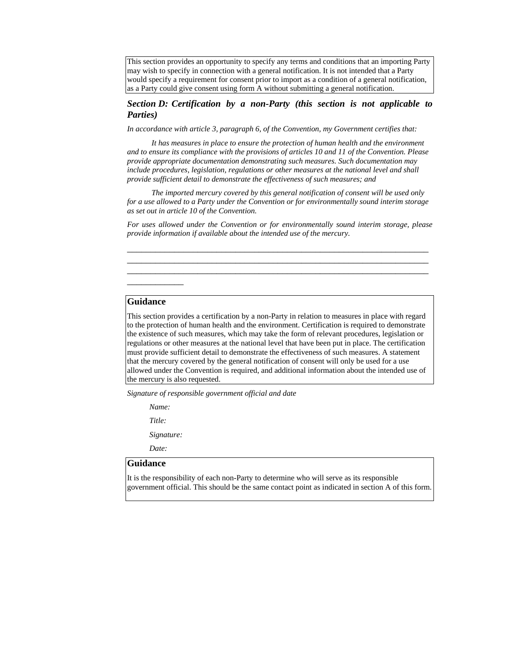This section provides an opportunity to specify any terms and conditions that an importing Party may wish to specify in connection with a general notification. It is not intended that a Party would specify a requirement for consent prior to import as a condition of a general notification, as a Party could give consent using form A without submitting a general notification.

# *Section D: Certification by a non-Party (this section is not applicable to Parties)*

*In accordance with article 3, paragraph 6, of the Convention, my Government certifies that:* 

*It has measures in place to ensure the protection of human health and the environment and to ensure its compliance with the provisions of articles 10 and 11 of the Convention. Please provide appropriate documentation demonstrating such measures. Such documentation may include procedures, legislation, regulations or other measures at the national level and shall provide sufficient detail to demonstrate the effectiveness of such measures; and* 

*The imported mercury covered by this general notification of consent will be used only for a use allowed to a Party under the Convention or for environmentally sound interim storage as set out in article 10 of the Convention.* 

*For uses allowed under the Convention or for environmentally sound interim storage, please provide information if available about the intended use of the mercury.*

*\_\_\_\_\_\_\_\_\_\_\_\_\_\_\_\_\_\_\_\_\_\_\_\_\_\_\_\_\_\_\_\_\_\_\_\_\_\_\_\_\_\_\_\_\_\_\_\_\_\_\_\_\_\_\_\_\_\_\_\_\_\_\_\_ \_\_\_\_\_\_\_\_\_\_\_\_\_\_\_\_\_\_\_\_\_\_\_\_\_\_\_\_\_\_\_\_\_\_\_\_\_\_\_\_\_\_\_\_\_\_\_\_\_\_\_\_\_\_\_\_\_\_\_\_\_\_\_\_ \_\_\_\_\_\_\_\_\_\_\_\_\_\_\_\_\_\_\_\_\_\_\_\_\_\_\_\_\_\_\_\_\_\_\_\_\_\_\_\_\_\_\_\_\_\_\_\_\_\_\_\_\_\_\_\_\_\_\_\_\_\_\_\_*

## **Guidance**

*\_\_\_\_\_\_\_\_\_\_\_\_* 

This section provides a certification by a non-Party in relation to measures in place with regard to the protection of human health and the environment. Certification is required to demonstrate the existence of such measures, which may take the form of relevant procedures, legislation or regulations or other measures at the national level that have been put in place. The certification must provide sufficient detail to demonstrate the effectiveness of such measures. A statement that the mercury covered by the general notification of consent will only be used for a use allowed under the Convention is required, and additional information about the intended use of the mercury is also requested.

*Signature of responsible government official and date*

 *Name:* 

 *Title:* 

 *Signature:* 

 *Date:* 

## **Guidance**

It is the responsibility of each non-Party to determine who will serve as its responsible government official. This should be the same contact point as indicated in section A of this form.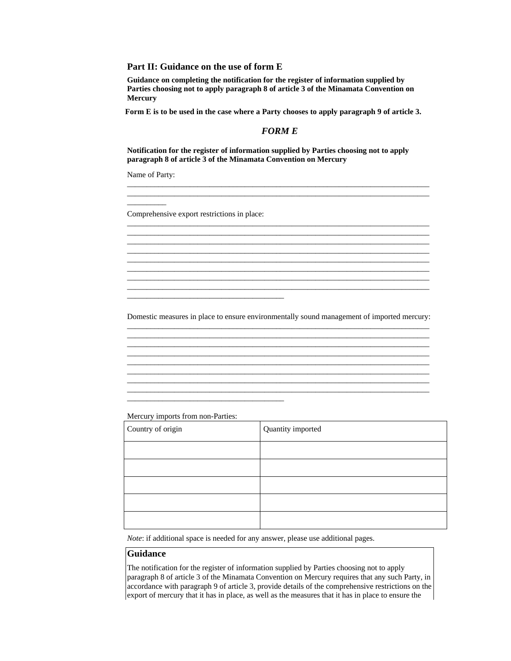**Part II: Guidance on the use of form E** 

 **Guidance on completing the notification for the register of information supplied by Parties choosing not to apply paragraph 8 of article 3 of the Minamata Convention on Mercury** 

Form E is to be used in the case where a Party chooses to apply paragraph 9 of article 3.

# *FORM E*

\_\_\_\_\_\_\_\_\_\_\_\_\_\_\_\_\_\_\_\_\_\_\_\_\_\_\_\_\_\_\_\_\_\_\_\_\_\_\_\_\_\_\_\_\_\_\_\_\_\_\_\_\_\_\_\_\_\_\_\_\_\_\_\_\_\_\_\_\_\_\_\_\_\_\_\_\_ \_\_\_\_\_\_\_\_\_\_\_\_\_\_\_\_\_\_\_\_\_\_\_\_\_\_\_\_\_\_\_\_\_\_\_\_\_\_\_\_\_\_\_\_\_\_\_\_\_\_\_\_\_\_\_\_\_\_\_\_\_\_\_\_\_\_\_\_\_\_\_\_\_\_\_\_\_

\_\_\_\_\_\_\_\_\_\_\_\_\_\_\_\_\_\_\_\_\_\_\_\_\_\_\_\_\_\_\_\_\_\_\_\_\_\_\_\_\_\_\_\_\_\_\_\_\_\_\_\_\_\_\_\_\_\_\_\_\_\_\_\_\_\_\_\_\_\_\_\_\_\_\_\_\_

\_\_\_\_\_\_\_\_\_\_\_\_\_\_\_\_\_\_\_\_\_\_\_\_\_\_\_\_\_\_\_\_\_\_\_\_\_\_\_\_\_\_\_\_\_\_\_\_\_\_\_\_\_\_\_\_\_\_\_\_\_\_\_\_\_\_\_\_\_\_\_\_\_\_\_\_\_ \_\_\_\_\_\_\_\_\_\_\_\_\_\_\_\_\_\_\_\_\_\_\_\_\_\_\_\_\_\_\_\_\_\_\_\_\_\_\_\_\_\_\_\_\_\_\_\_\_\_\_\_\_\_\_\_\_\_\_\_\_\_\_\_\_\_\_\_\_\_\_\_\_\_\_\_\_ \_\_\_\_\_\_\_\_\_\_\_\_\_\_\_\_\_\_\_\_\_\_\_\_\_\_\_\_\_\_\_\_\_\_\_\_\_\_\_\_\_\_\_\_\_\_\_\_\_\_\_\_\_\_\_\_\_\_\_\_\_\_\_\_\_\_\_\_\_\_\_\_\_\_\_\_\_ \_\_\_\_\_\_\_\_\_\_\_\_\_\_\_\_\_\_\_\_\_\_\_\_\_\_\_\_\_\_\_\_\_\_\_\_\_\_\_\_\_\_\_\_\_\_\_\_\_\_\_\_\_\_\_\_\_\_\_\_\_\_\_\_\_\_\_\_\_\_\_\_\_\_\_\_\_ \_\_\_\_\_\_\_\_\_\_\_\_\_\_\_\_\_\_\_\_\_\_\_\_\_\_\_\_\_\_\_\_\_\_\_\_\_\_\_\_\_\_\_\_\_\_\_\_\_\_\_\_\_\_\_\_\_\_\_\_\_\_\_\_\_\_\_\_\_\_\_\_\_\_\_\_\_ \_\_\_\_\_\_\_\_\_\_\_\_\_\_\_\_\_\_\_\_\_\_\_\_\_\_\_\_\_\_\_\_\_\_\_\_\_\_\_\_\_\_\_\_\_\_\_\_\_\_\_\_\_\_\_\_\_\_\_\_\_\_\_\_\_\_\_\_\_\_\_\_\_\_\_\_\_

**Notification for the register of information supplied by Parties choosing not to apply paragraph 8 of article 3 of the Minamata Convention on Mercury**

Name of Party:

 $\overline{\phantom{a}}$ 

Comprehensive export restrictions in place:

\_\_\_\_\_\_\_\_\_\_\_\_\_\_\_\_\_\_\_\_\_\_\_\_\_\_\_\_\_\_\_\_\_\_\_\_\_\_\_\_

\_\_\_\_\_\_\_\_\_\_\_\_\_\_\_\_\_\_\_\_\_\_\_\_\_\_\_\_\_\_\_\_\_\_\_\_\_\_\_\_

Domestic measures in place to ensure environmentally sound management of imported mercury: \_\_\_\_\_\_\_\_\_\_\_\_\_\_\_\_\_\_\_\_\_\_\_\_\_\_\_\_\_\_\_\_\_\_\_\_\_\_\_\_\_\_\_\_\_\_\_\_\_\_\_\_\_\_\_\_\_\_\_\_\_\_\_\_\_\_\_\_\_\_\_\_\_\_\_\_\_

\_\_\_\_\_\_\_\_\_\_\_\_\_\_\_\_\_\_\_\_\_\_\_\_\_\_\_\_\_\_\_\_\_\_\_\_\_\_\_\_\_\_\_\_\_\_\_\_\_\_\_\_\_\_\_\_\_\_\_\_\_\_\_\_\_\_\_\_\_\_\_\_\_\_\_\_\_ \_\_\_\_\_\_\_\_\_\_\_\_\_\_\_\_\_\_\_\_\_\_\_\_\_\_\_\_\_\_\_\_\_\_\_\_\_\_\_\_\_\_\_\_\_\_\_\_\_\_\_\_\_\_\_\_\_\_\_\_\_\_\_\_\_\_\_\_\_\_\_\_\_\_\_\_\_

\_\_\_\_\_\_\_\_\_\_\_\_\_\_\_\_\_\_\_\_\_\_\_\_\_\_\_\_\_\_\_\_\_\_\_\_\_\_\_\_\_\_\_\_\_\_\_\_\_\_\_\_\_\_\_\_\_\_\_\_\_\_\_\_\_\_\_\_\_\_\_\_\_\_\_\_\_ \_\_\_\_\_\_\_\_\_\_\_\_\_\_\_\_\_\_\_\_\_\_\_\_\_\_\_\_\_\_\_\_\_\_\_\_\_\_\_\_\_\_\_\_\_\_\_\_\_\_\_\_\_\_\_\_\_\_\_\_\_\_\_\_\_\_\_\_\_\_\_\_\_\_\_\_\_

\_\_\_\_\_\_\_\_\_\_\_\_\_\_\_\_\_\_\_\_\_\_\_\_\_\_\_\_\_\_\_\_\_\_\_\_\_\_\_\_\_\_\_\_\_\_\_\_\_\_\_\_\_\_\_\_\_\_\_\_\_\_\_\_\_\_\_\_\_\_\_\_\_\_\_\_\_ \_\_\_\_\_\_\_\_\_\_\_\_\_\_\_\_\_\_\_\_\_\_\_\_\_\_\_\_\_\_\_\_\_\_\_\_\_\_\_\_\_\_\_\_\_\_\_\_\_\_\_\_\_\_\_\_\_\_\_\_\_\_\_\_\_\_\_\_\_\_\_\_\_\_\_\_\_ \_\_\_\_\_\_\_\_\_\_\_\_\_\_\_\_\_\_\_\_\_\_\_\_\_\_\_\_\_\_\_\_\_\_\_\_\_\_\_\_\_\_\_\_\_\_\_\_\_\_\_\_\_\_\_\_\_\_\_\_\_\_\_\_\_\_\_\_\_\_\_\_\_\_\_\_\_

Mercury imports from non-Parties:

| Country of origin | Quantity imported |
|-------------------|-------------------|
|                   |                   |
|                   |                   |
|                   |                   |
|                   |                   |
|                   |                   |

*Note*: if additional space is needed for any answer, please use additional pages.

# **Guidance**

The notification for the register of information supplied by Parties choosing not to apply paragraph 8 of article 3 of the Minamata Convention on Mercury requires that any such Party, in accordance with paragraph 9 of article 3, provide details of the comprehensive restrictions on the export of mercury that it has in place, as well as the measures that it has in place to ensure the